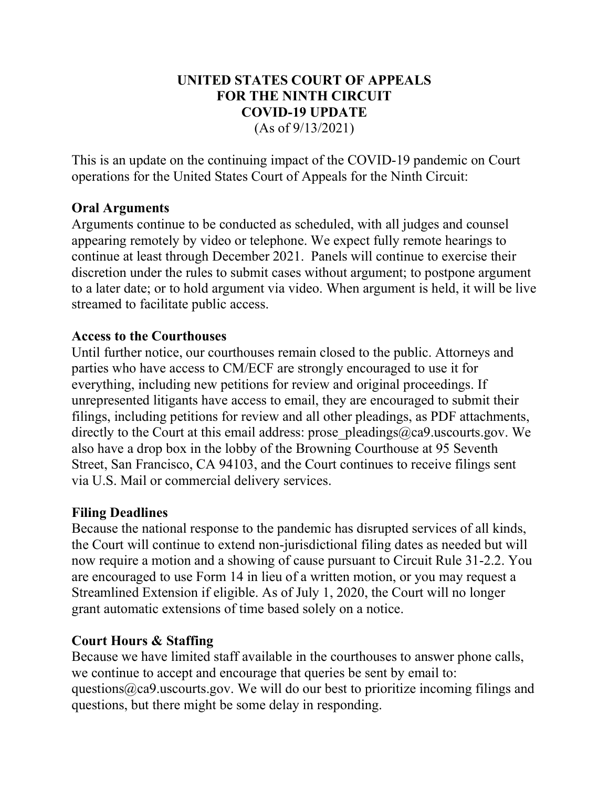### UNITED STATES COURT OF APPEALS FOR THE NINTH CIRCUIT COVID-19 UPDATE (As of 9/13/2021)

This is an update on the continuing impact of the COVID-19 pandemic on Court operations for the United States Court of Appeals for the Ninth Circuit:

# Oral Arguments

Arguments continue to be conducted as scheduled, with all judges and counsel appearing remotely by video or telephone. We expect fully remote hearings to continue at least through December 2021. Panels will continue to exercise their discretion under the rules to submit cases without argument; to postpone argument to a later date; or to hold argument via video. When argument is held, it will be live streamed to facilitate public access.

### Access to the Courthouses

Until further notice, our courthouses remain closed to the public. Attorneys and parties who have access to CM/ECF are strongly encouraged to use it for everything, including new petitions for review and original proceedings. If unrepresented litigants have access to email, they are encouraged to submit their filings, including petitions for review and all other pleadings, as PDF attachments, directly to the Court at this email address: prose pleadings@ca9.uscourts.gov. We also have a drop box in the lobby of the Browning Courthouse at 95 Seventh Street, San Francisco, CA 94103, and the Court continues to receive filings sent via U.S. Mail or commercial delivery services.

#### Filing Deadlines

Because the national response to the pandemic has disrupted services of all kinds, the Court will continue to extend non-jurisdictional filing dates as needed but will now require a motion and a showing of cause pursuant to Circuit Rule 31-2.2. You are encouraged to use Form 14 in lieu of a written motion, or you may request a Streamlined Extension if eligible. As of July 1, 2020, the Court will no longer grant automatic extensions of time based solely on a notice.

# Court Hours & Staffing

Because we have limited staff available in the courthouses to answer phone calls, we continue to accept and encourage that queries be sent by email to: questions@ca9.uscourts.gov. We will do our best to prioritize incoming filings and questions, but there might be some delay in responding.